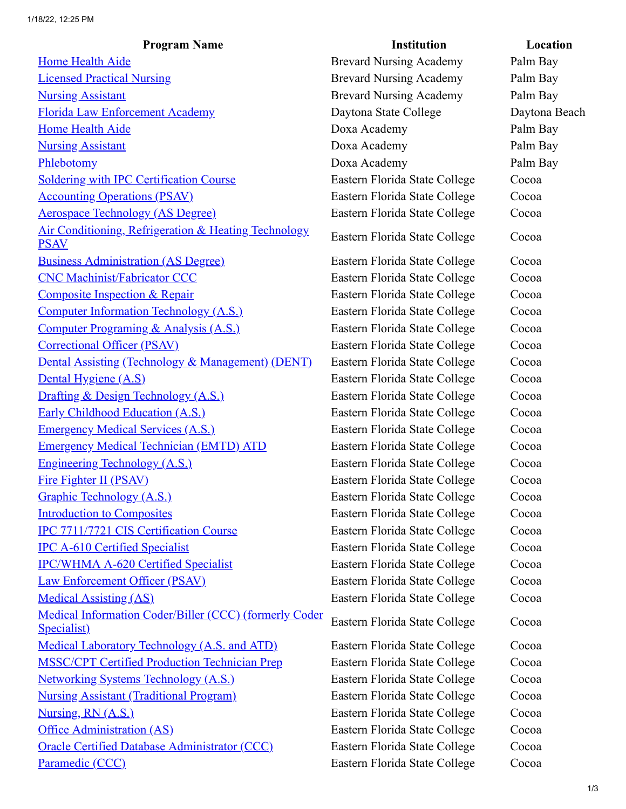| <b>Program Name</b>                                                   | <b>Institution</b>             | Location      |
|-----------------------------------------------------------------------|--------------------------------|---------------|
| <b>Home Health Aide</b>                                               | <b>Brevard Nursing Academy</b> | Palm Bay      |
| <b>Licensed Practical Nursing</b>                                     | <b>Brevard Nursing Academy</b> | Palm Bay      |
| <b>Nursing Assistant</b>                                              | <b>Brevard Nursing Academy</b> | Palm Bay      |
| Florida Law Enforcement Academy                                       | Daytona State College          | Daytona Beach |
| <b>Home Health Aide</b>                                               | Doxa Academy                   | Palm Bay      |
| <b>Nursing Assistant</b>                                              | Doxa Academy                   | Palm Bay      |
| Phlebotomy                                                            | Doxa Academy                   | Palm Bay      |
| <b>Soldering with IPC Certification Course</b>                        | Eastern Florida State College  | Cocoa         |
| <b>Accounting Operations (PSAV)</b>                                   | Eastern Florida State College  | Cocoa         |
| <b>Aerospace Technology (AS Degree)</b>                               | Eastern Florida State College  | Cocoa         |
| Air Conditioning, Refrigeration & Heating Technology<br><b>PSAV</b>   | Eastern Florida State College  | Cocoa         |
| <b>Business Administration (AS Degree)</b>                            | Eastern Florida State College  | Cocoa         |
| <b>CNC Machinist/Fabricator CCC</b>                                   | Eastern Florida State College  | Cocoa         |
| <b>Composite Inspection &amp; Repair</b>                              | Eastern Florida State College  | Cocoa         |
| <b>Computer Information Technology (A.S.)</b>                         | Eastern Florida State College  | Cocoa         |
| Computer Programing & Analysis (A.S.)                                 | Eastern Florida State College  | Cocoa         |
| <b>Correctional Officer (PSAV)</b>                                    | Eastern Florida State College  | Cocoa         |
| Dental Assisting (Technology & Management) (DENT)                     | Eastern Florida State College  | Cocoa         |
| Dental Hygiene (A.S)                                                  | Eastern Florida State College  | Cocoa         |
| Drafting & Design Technology (A.S.)                                   | Eastern Florida State College  | Cocoa         |
| <b>Early Childhood Education (A.S.)</b>                               | Eastern Florida State College  | Cocoa         |
| <b>Emergency Medical Services (A.S.)</b>                              | Eastern Florida State College  | Cocoa         |
| <b>Emergency Medical Technician (EMTD) ATD</b>                        | Eastern Florida State College  | Cocoa         |
| <b>Engineering Technology (A.S.)</b>                                  | Eastern Florida State College  | Cocoa         |
| Fire Fighter II (PSAV)                                                | Eastern Florida State College  | Cocoa         |
| Graphic Technology (A.S.)                                             | Eastern Florida State College  | Cocoa         |
| <b>Introduction to Composites</b>                                     | Eastern Florida State College  | Cocoa         |
| IPC 7711/7721 CIS Certification Course                                | Eastern Florida State College  | Cocoa         |
| <b>IPC A-610 Certified Specialist</b>                                 | Eastern Florida State College  | Cocoa         |
| <b>IPC/WHMA A-620 Certified Specialist</b>                            | Eastern Florida State College  | Cocoa         |
| <b>Law Enforcement Officer (PSAV)</b>                                 | Eastern Florida State College  | Cocoa         |
| <b>Medical Assisting (AS)</b>                                         | Eastern Florida State College  | Cocoa         |
| Medical Information Coder/Biller (CCC) (formerly Coder<br>Specialist) | Eastern Florida State College  | Cocoa         |
| <b>Medical Laboratory Technology (A.S. and ATD)</b>                   | Eastern Florida State College  | Cocoa         |
| <b>MSSC/CPT Certified Production Technician Prep</b>                  | Eastern Florida State College  | Cocoa         |
| <b>Networking Systems Technology (A.S.)</b>                           | Eastern Florida State College  | Cocoa         |
| <b>Nursing Assistant (Traditional Program)</b>                        | Eastern Florida State College  | Cocoa         |
| Nursing, RN (A.S.)                                                    | Eastern Florida State College  | Cocoa         |
| <b>Office Administration (AS)</b>                                     | Eastern Florida State College  | Cocoa         |
| <b>Oracle Certified Database Administrator (CCC)</b>                  | Eastern Florida State College  | Cocoa         |
| Paramedic (CCC)                                                       | Eastern Florida State College  | Cocoa         |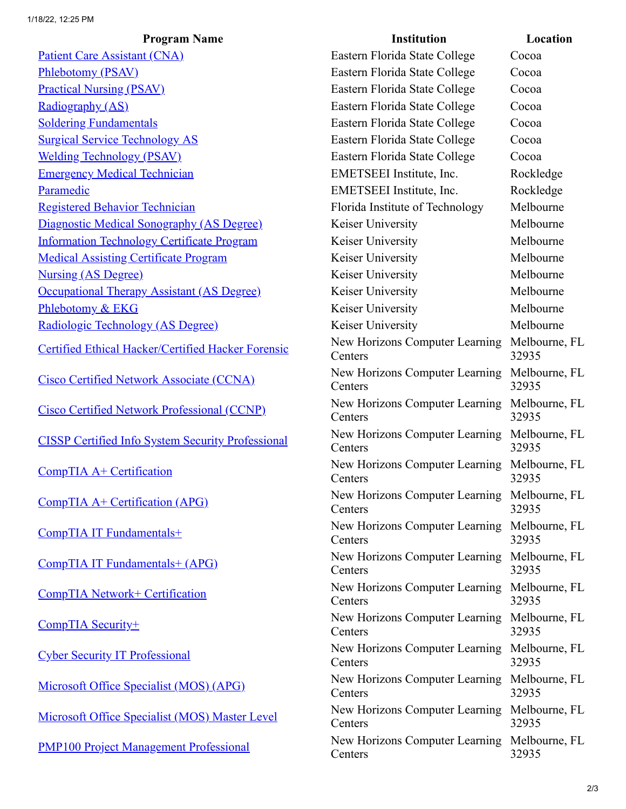| <b>Program Name</b>                                      | <b>Institution</b>                        | Locatio             |
|----------------------------------------------------------|-------------------------------------------|---------------------|
| Patient Care Assistant (CNA)                             | Eastern Florida State College             | Cocoa               |
| <b>Phlebotomy (PSAV)</b>                                 | Eastern Florida State College             | Cocoa               |
| <b>Practical Nursing (PSAV)</b>                          | Eastern Florida State College             | Cocoa               |
| Radiography (AS)                                         | Eastern Florida State College             | Cocoa               |
| <b>Soldering Fundamentals</b>                            | Eastern Florida State College             | Cocoa               |
| <b>Surgical Service Technology AS</b>                    | Eastern Florida State College             | Cocoa               |
| <b>Welding Technology (PSAV)</b>                         | Eastern Florida State College             | Cocoa               |
| <b>Emergency Medical Technician</b>                      | EMETSEEI Institute, Inc.                  | Rockledge           |
| Paramedic                                                | EMETSEEI Institute, Inc.                  | Rockledge           |
| <b>Registered Behavior Technician</b>                    | Florida Institute of Technology           | Melbourne           |
| Diagnostic Medical Sonography (AS Degree)                | Keiser University                         | Melbourne           |
| <b>Information Technology Certificate Program</b>        | Keiser University                         | Melbourne           |
| <b>Medical Assisting Certificate Program</b>             | Keiser University                         | Melbourne           |
| <b>Nursing (AS Degree)</b>                               | Keiser University                         | Melbourne           |
| <b>Occupational Therapy Assistant (AS Degree)</b>        | Keiser University                         | Melbourne           |
| Phlebotomy & EKG                                         | Keiser University                         | Melbourne           |
| Radiologic Technology (AS Degree)                        | Keiser University                         | Melbourne           |
| Certified Ethical Hacker/Certified Hacker Forensic       | New Horizons Computer Learning<br>Centers | Melbourne.<br>32935 |
| <b>Cisco Certified Network Associate (CCNA)</b>          | New Horizons Computer Learning<br>Centers | Melbourne,<br>32935 |
| <b>Cisco Certified Network Professional (CCNP)</b>       | New Horizons Computer Learning<br>Centers | Melbourne.<br>32935 |
| <b>CISSP Certified Info System Security Professional</b> | New Horizons Computer Learning<br>Centers | Melbourne.<br>32935 |
| CompTIA A+ Certification                                 | New Horizons Computer Learning<br>Centers | Melbourne,<br>32935 |
| CompTIA A+ Certification (APG)                           | New Horizons Computer Learning<br>Centers | Melbourne,<br>32935 |
| CompTIA IT Fundamentals+                                 | New Horizons Computer Learning<br>Centers | Melbourne,<br>32935 |
| <b>CompTIA IT Fundamentals+ (APG)</b>                    | New Horizons Computer Learning<br>Centers | Melbourne,<br>32935 |
| <b>CompTIA Network+ Certification</b>                    | New Horizons Computer Learning<br>Centers | Melbourne.<br>32935 |
| CompTIA Security+                                        | New Horizons Computer Learning<br>Centers | Melbourne.<br>32935 |
| <b>Cyber Security IT Professional</b>                    | New Horizons Computer Learning<br>Centers | Melbourne.<br>32935 |
| Microsoft Office Specialist (MOS) (APG)                  | New Horizons Computer Learning<br>Centers | Melbourne.<br>32935 |
| <b>Microsoft Office Specialist (MOS) Master Level</b>    | New Horizons Computer Learning<br>Centers | Melbourne.<br>32935 |
| <b>PMP100 Project Management Professional</b>            | New Horizons Computer Learning<br>Centers | Melbourne.<br>32935 |

| <b>Program Name</b>                 | <b>Institution</b>                                      | Location               |
|-------------------------------------|---------------------------------------------------------|------------------------|
| <u>t (CNA)</u>                      | Eastern Florida State College                           | Cocoa                  |
|                                     | Eastern Florida State College                           | Cocoa                  |
| <u>(AV)</u>                         | Eastern Florida State College                           | Cocoa                  |
|                                     | Eastern Florida State College                           | Cocoa                  |
| <u>als</u>                          | Eastern Florida State College                           | Cocoa                  |
| <u>mology AS</u>                    | Eastern Florida State College                           | Cocoa                  |
| <u>(PSAV)</u>                       | Eastern Florida State College                           | Cocoa                  |
| <u> Fechnician</u>                  | EMETSEEI Institute, Inc.                                | Rockledge              |
|                                     | EMETSEEI Institute, Inc.                                | Rockledge              |
| <u>Technician</u>                   | Florida Institute of Technology                         | Melbourne              |
| <u>lonography (AS Degree)</u>       | Keiser University                                       | Melbourne              |
| <u>gy Certificate Program</u>       | Keiser University                                       | Melbourne              |
| <u>rtificate Program</u>            | Keiser University                                       | Melbourne              |
|                                     | Keiser University                                       | Melbourne              |
| <u>y Assistant (AS Degree)</u>      | Keiser University                                       | Melbourne              |
|                                     | Keiser University                                       | Melbourne              |
| <u>zy (AS Degree)</u>               | Keiser University                                       | Melbourne              |
| ker/Certified Hacker Forensic       | New Horizons Computer Learning<br>Centers               | Melbourne, FL<br>32935 |
| ork Associate (CCNA)                | New Horizons Computer Learning<br>Centers               | Melbourne, FL<br>32935 |
| ork Professional (CCNP)             | New Horizons Computer Learning<br>Centers               | Melbourne, FL<br>32935 |
| <b>System Security Professional</b> | New Horizons Computer Learning<br>Centers               | Melbourne, FL<br>32935 |
| cation                              | New Horizons Computer Learning<br>Centers               | Melbourne, FL<br>32935 |
| cation (APG)                        | New Horizons Computer Learning Melbourne, FL<br>Centers | 32935                  |
| nentals+                            | New Horizons Computer Learning Melbourne, FL<br>Centers | 32935                  |
| <u>nentals+ (APG)</u>               | New Horizons Computer Learning Melbourne, FL<br>Centers | 32935                  |
| Certification                       | New Horizons Computer Learning Melbourne, FL<br>Centers | 32935                  |
|                                     | New Horizons Computer Learning Melbourne, FL<br>Centers | 32935                  |
| <b>ofessional</b>                   | New Horizons Computer Learning Melbourne, FL<br>Centers | 32935                  |
| cialist (MOS) (APG)                 | New Horizons Computer Learning<br>Centers               | Melbourne, FL<br>32935 |
| cialist (MOS) Master Level          | New Horizons Computer Learning Melbourne, FL<br>Centers | 32935                  |
| <u>agement Professional</u>         | New Horizons Computer Learning Melbourne, FL<br>Centers | 32935                  |